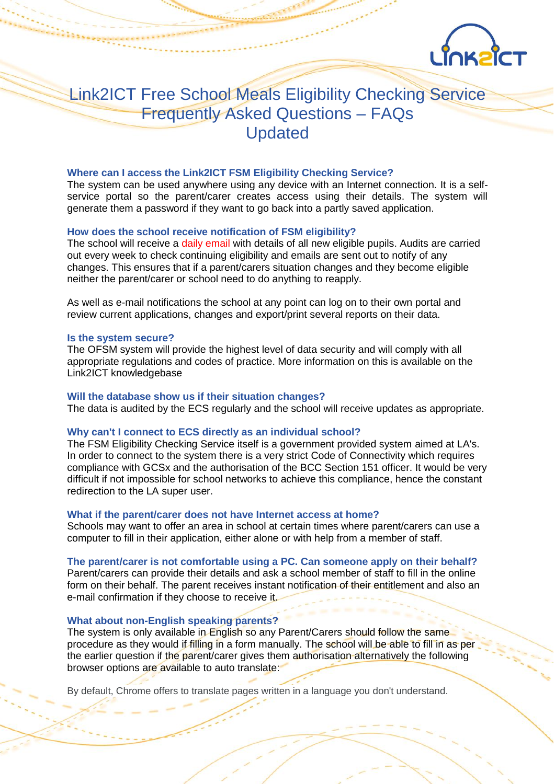

# Link2ICT Free School Meals Eligibility Checking Service Frequently Asked Questions – FAQs Updated

# **Where can I access the Link2ICT FSM Eligibility Checking Service?**

The system can be used anywhere using any device with an Internet connection. It is a selfservice portal so the parent/carer creates access using their details. The system will generate them a password if they want to go back into a partly saved application.

# **How does the school receive notification of FSM eligibility?**

The school will receive a daily email with details of all new eligible pupils. Audits are carried out every week to check continuing eligibility and emails are sent out to notify of any changes. This ensures that if a parent/carers situation changes and they become eligible neither the parent/carer or school need to do anything to reapply.

As well as e-mail notifications the school at any point can log on to their own portal and review current applications, changes and export/print several reports on their data.

#### **Is the system secure?**

The OFSM system will provide the highest level of data security and will comply with all appropriate regulations and codes of practice. More information on this is available on the Link2ICT knowledgebase

#### **Will the database show us if their situation changes?**

The data is audited by the ECS regularly and the school will receive updates as appropriate.

# **Why can't I connect to ECS directly as an individual school?**

The FSM Eligibility Checking Service itself is a government provided system aimed at LA's. In order to connect to the system there is a very strict Code of Connectivity which requires compliance with GCSx and the authorisation of the BCC Section 151 officer. It would be very difficult if not impossible for school networks to achieve this compliance, hence the constant redirection to the LA super user.

#### **What if the parent/carer does not have Internet access at home?**

Schools may want to offer an area in school at certain times where parent/carers can use a computer to fill in their application, either alone or with help from a member of staff.

#### **The parent/carer is not comfortable using a PC. Can someone apply on their behalf?**

Parent/carers can provide their details and ask a school member of staff to fill in the online form on their behalf. The parent receives instant notification of their entitlement and also an e-mail confirmation if they choose to receive it.

# **What about non-English speaking parents?**

The system is only available in English so any Parent/Carers should follow the same procedure as they would if filling in a form manually. The school will be able to fill in as per the earlier question if the parent/carer gives them authorisation alternatively the following browser options are available to auto translate:

By default, Chrome offers to translate pages written in a language you don't understand.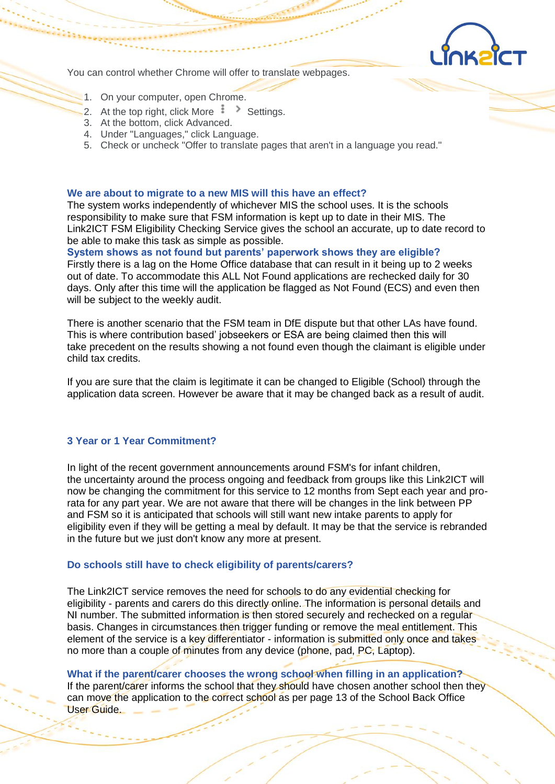

You can control whether Chrome will offer to translate webpages.

- 1. On your computer, open Chrome.
- 2. At the top right, click More  $\frac{1}{2}$  Settings.
- 3. At the bottom, click Advanced.
- 4. Under "Languages," click Language.
- 5. Check or uncheck "Offer to translate pages that aren't in a language you read."

# **We are about to migrate to a new MIS will this have an effect?**

The system works independently of whichever MIS the school uses. It is the schools responsibility to make sure that FSM information is kept up to date in their MIS. The Link2ICT FSM Eligibility Checking Service gives the school an accurate, up to date record to be able to make this task as simple as possible.

**System shows as not found but parents' paperwork shows they are eligible?** Firstly there is a lag on the Home Office database that can result in it being up to 2 weeks out of date. To accommodate this ALL Not Found applications are rechecked daily for 30 days. Only after this time will the application be flagged as Not Found (ECS) and even then will be subject to the weekly audit.

There is another scenario that the FSM team in DfE dispute but that other LAs have found. This is where contribution based' jobseekers or ESA are being claimed then this will take precedent on the results showing a not found even though the claimant is eligible under child tax credits.

If you are sure that the claim is legitimate it can be changed to Eligible (School) through the application data screen. However be aware that it may be changed back as a result of audit.

# **3 Year or 1 Year Commitment?**

In light of the recent government announcements around FSM's for infant children, the uncertainty around the process ongoing and feedback from groups like this Link2ICT will now be changing the commitment for this service to 12 months from Sept each year and prorata for any part year. We are not aware that there will be changes in the link between PP and FSM so it is anticipated that schools will still want new intake parents to apply for eligibility even if they will be getting a meal by default. It may be that the service is rebranded in the future but we just don't know any more at present.

# **Do schools still have to check eligibility of parents/carers?**

The Link2ICT service removes the need for schools to do any evidential checking for eligibility - parents and carers do this directly online. The information is personal details and NI number. The submitted information is then stored securely and rechecked on a regular basis. Changes in circumstances then trigger funding or remove the meal entitlement. This element of the service is a key differentiator - information is submitted only once and takes no more than a couple of minutes from any device (phone, pad, PC, Laptop).

**What if the parent/carer chooses the wrong school when filling in an application?** If the parent/carer informs the school that they should have chosen another school then they can move the application to the correct school as per page 13 of the School Back Office User Guide.